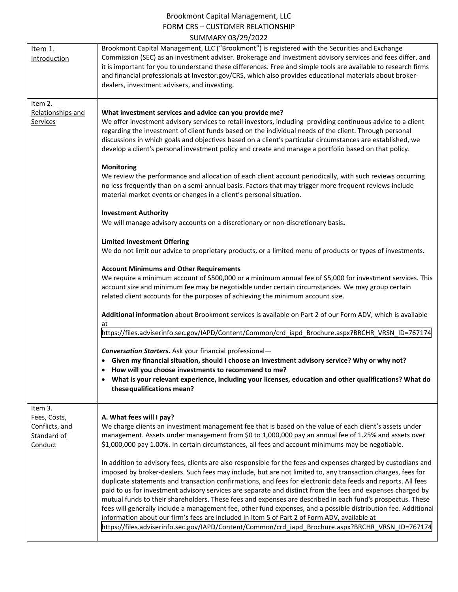## Brookmont Capital Management, LLC FORM CRS – CUSTOMER RELATIONSHIP SUMMARY 03/29/2022

| <b>JUIVIIVIAILI UJI LJI LULL</b>                                                                                                                                                                                                                                                                                                                                                                                                                                                                                                                                                                                                                                                                                                                                                                                                                                                                  |
|---------------------------------------------------------------------------------------------------------------------------------------------------------------------------------------------------------------------------------------------------------------------------------------------------------------------------------------------------------------------------------------------------------------------------------------------------------------------------------------------------------------------------------------------------------------------------------------------------------------------------------------------------------------------------------------------------------------------------------------------------------------------------------------------------------------------------------------------------------------------------------------------------|
| Brookmont Capital Management, LLC ("Brookmont") is registered with the Securities and Exchange<br>Commission (SEC) as an investment adviser. Brokerage and investment advisory services and fees differ, and<br>it is important for you to understand these differences. Free and simple tools are available to research firms<br>and financial professionals at Investor.gov/CRS, which also provides educational materials about broker-<br>dealers, investment advisers, and investing.                                                                                                                                                                                                                                                                                                                                                                                                        |
| What investment services and advice can you provide me?<br>We offer investment advisory services to retail investors, including providing continuous advice to a client<br>regarding the investment of client funds based on the individual needs of the client. Through personal<br>discussions in which goals and objectives based on a client's particular circumstances are established, we<br>develop a client's personal investment policy and create and manage a portfolio based on that policy.<br><b>Monitoring</b><br>We review the performance and allocation of each client account periodically, with such reviews occurring                                                                                                                                                                                                                                                        |
| no less frequently than on a semi-annual basis. Factors that may trigger more frequent reviews include<br>material market events or changes in a client's personal situation.<br><b>Investment Authority</b><br>We will manage advisory accounts on a discretionary or non-discretionary basis.                                                                                                                                                                                                                                                                                                                                                                                                                                                                                                                                                                                                   |
| <b>Limited Investment Offering</b><br>We do not limit our advice to proprietary products, or a limited menu of products or types of investments.                                                                                                                                                                                                                                                                                                                                                                                                                                                                                                                                                                                                                                                                                                                                                  |
| <b>Account Minimums and Other Requirements</b><br>We require a minimum account of \$500,000 or a minimum annual fee of \$5,000 for investment services. This<br>account size and minimum fee may be negotiable under certain circumstances. We may group certain<br>related client accounts for the purposes of achieving the minimum account size.                                                                                                                                                                                                                                                                                                                                                                                                                                                                                                                                               |
| Additional information about Brookmont services is available on Part 2 of our Form ADV, which is available<br>at<br>https://files.adviserinfo.sec.gov/IAPD/Content/Common/crd iapd Brochure.aspx?BRCHR VRSN ID=767174                                                                                                                                                                                                                                                                                                                                                                                                                                                                                                                                                                                                                                                                             |
| <b>Conversation Starters.</b> Ask your financial professional-<br>• Given my financial situation, should I choose an investment advisory service? Why or why not?<br>• How will you choose investments to recommend to me?<br>What is your relevant experience, including your licenses, education and other qualifications? What do<br>these qualifications mean?                                                                                                                                                                                                                                                                                                                                                                                                                                                                                                                                |
| A. What fees will I pay?<br>We charge clients an investment management fee that is based on the value of each client's assets under<br>management. Assets under management from \$0 to 1,000,000 pay an annual fee of 1.25% and assets over<br>\$1,000,000 pay 1.00%. In certain circumstances, all fees and account minimums may be negotiable.                                                                                                                                                                                                                                                                                                                                                                                                                                                                                                                                                  |
| In addition to advisory fees, clients are also responsible for the fees and expenses charged by custodians and<br>imposed by broker-dealers. Such fees may include, but are not limited to, any transaction charges, fees for<br>duplicate statements and transaction confirmations, and fees for electronic data feeds and reports. All fees<br>paid to us for investment advisory services are separate and distinct from the fees and expenses charged by<br>mutual funds to their shareholders. These fees and expenses are described in each fund's prospectus. These<br>fees will generally include a management fee, other fund expenses, and a possible distribution fee. Additional<br>information about our firm's fees are included in Item 5 of Part 2 of Form ADV, available at<br>https://files.adviserinfo.sec.gov/IAPD/Content/Common/crd_iapd_Brochure.aspx?BRCHR_VRSN_ID=767174 |
|                                                                                                                                                                                                                                                                                                                                                                                                                                                                                                                                                                                                                                                                                                                                                                                                                                                                                                   |